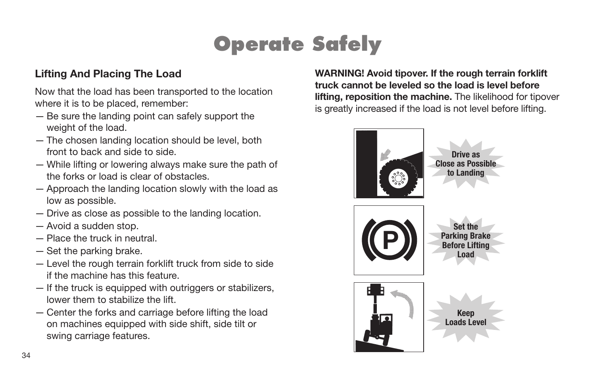# **Operate Safely**

### **Lifting And Placing The Load**

Now that the load has been transported to the location where it is to be placed, remember:

- Be sure the landing point can safely support the weight of the load.
- The chosen landing location should be level, both front to back and side to side.
- While lifting or lowering always make sure the path of the forks or load is clear of obstacles.
- Approach the landing location slowly with the load as low as possible.
- Drive as close as possible to the landing location.
- Avoid a sudden stop.
- Place the truck in neutral.
- Set the parking brake.
- Level the rough terrain forklift truck from side to side if the machine has this feature.
- If the truck is equipped with outriggers or stabilizers, lower them to stabilize the lift.
- Center the forks and carriage before lifting the load on machines equipped with side shift, side tilt or swing carriage features.

**WARNING! Avoid tipover. If the rough terrain forklift truck cannot be leveled so the load is level before lifting, reposition the machine.** The likelihood for tipover is greatly increased if the load is not level before lifting.

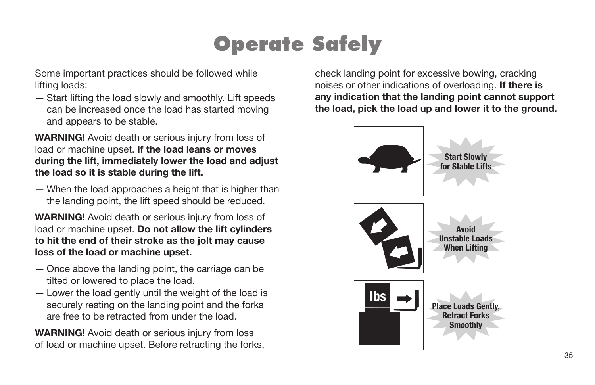## **Operate Safely**

Some important practices should be followed while lifting loads:

— Start lifting the load slowly and smoothly. Lift speeds can be increased once the load has started moving and appears to be stable.

**WARNING!** Avoid death or serious injury from loss of load or machine upset. **If the load leans or moves during the lift, immediately lower the load and adjust the load so it is stable during the lift.** 

— When the load approaches a height that is higher than the landing point, the lift speed should be reduced.

**WARNING!** Avoid death or serious injury from loss of load or machine upset. **Do not allow the lift cylinders to hit the end of their stroke as the jolt may cause loss of the load or machine upset.** 

- Once above the landing point, the carriage can be tilted or lowered to place the load.
- Lower the load gently until the weight of the load is securely resting on the landing point and the forks are free to be retracted from under the load.

**WARNING!** Avoid death or serious injury from loss of load or machine upset. Before retracting the forks, check landing point for excessive bowing, cracking noises or other indications of overloading. **If there is any indication that the landing point cannot support the load, pick the load up and lower it to the ground.**